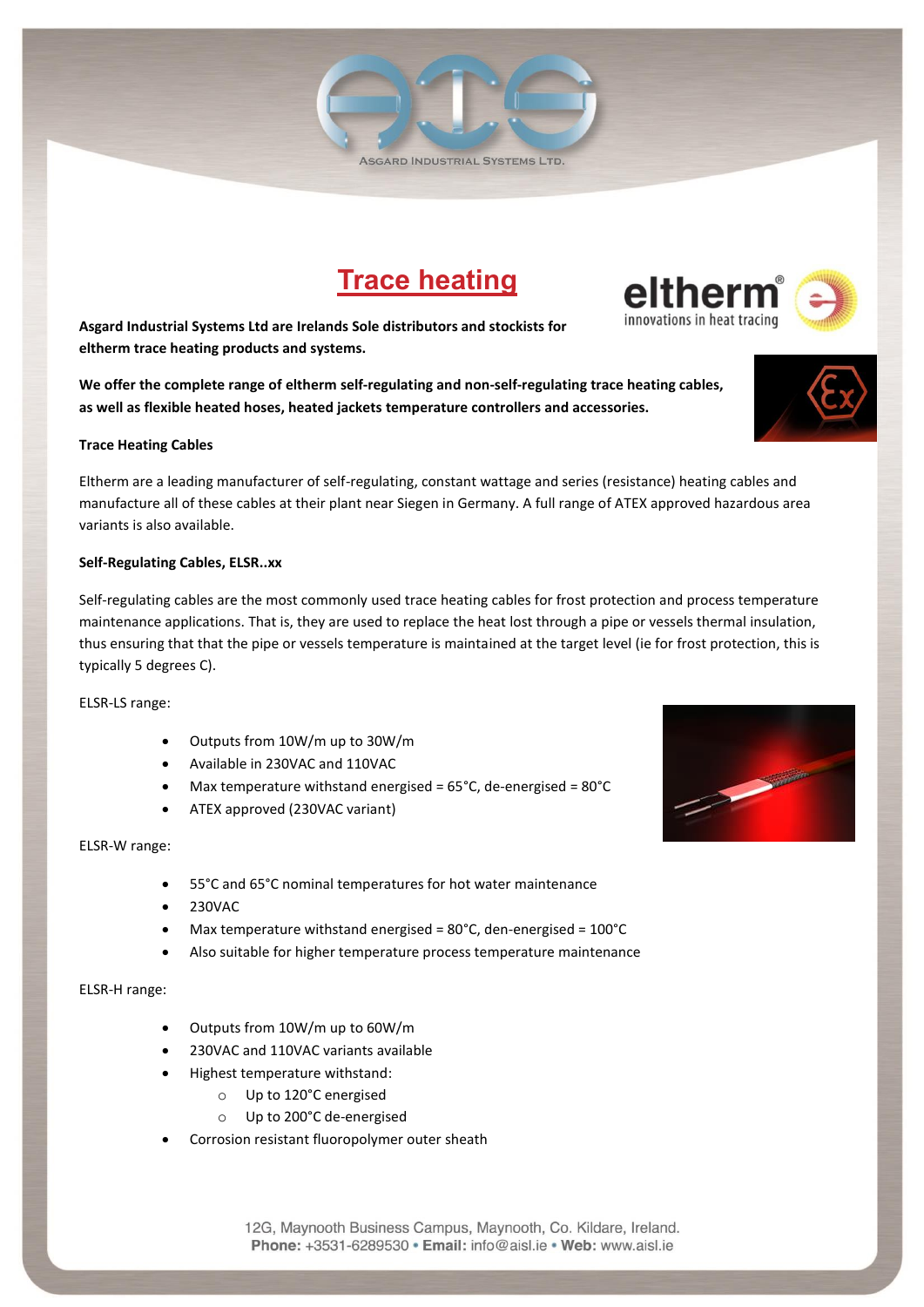# **Trace heating**

**Asgard Industrial Systems Ltd are Irelands Sole distributors and stockists for eltherm trace heating products and systems.** 

**We offer the complete range of eltherm self-regulating and non-self-regulating trace heating cables, as well as flexible heated hoses, heated jackets temperature controllers and accessories.** 

## **Trace Heating Cables**

Eltherm are a leading manufacturer of self-regulating, constant wattage and series (resistance) heating cables and manufacture all of these cables at their plant near Siegen in Germany. A full range of ATEX approved hazardous area variants is also available.

## **Self-Regulating Cables, ELSR..xx**

Self-regulating cables are the most commonly used trace heating cables for frost protection and process temperature maintenance applications. That is, they are used to replace the heat lost through a pipe or vessels thermal insulation, thus ensuring that that the pipe or vessels temperature is maintained at the target level (ie for frost protection, this is typically 5 degrees C).

ELSR-LS range:

- Outputs from 10W/m up to 30W/m
- Available in 230VAC and 110VAC
- $\bullet$  Max temperature withstand energised = 65°C, de-energised = 80°C
- ATEX approved (230VAC variant)

## ELSR-W range:

- 55°C and 65°C nominal temperatures for hot water maintenance
- 230VAC
- Max temperature withstand energised = 80°C, den-energised = 100°C
- Also suitable for higher temperature process temperature maintenance

# ELSR-H range:

- Outputs from 10W/m up to 60W/m
- 230VAC and 110VAC variants available
- Highest temperature withstand:
	- o Up to 120°C energised
	- o Up to 200°C de-energised
- Corrosion resistant fluoropolymer outer sheath









elther

innovations in heat tracing